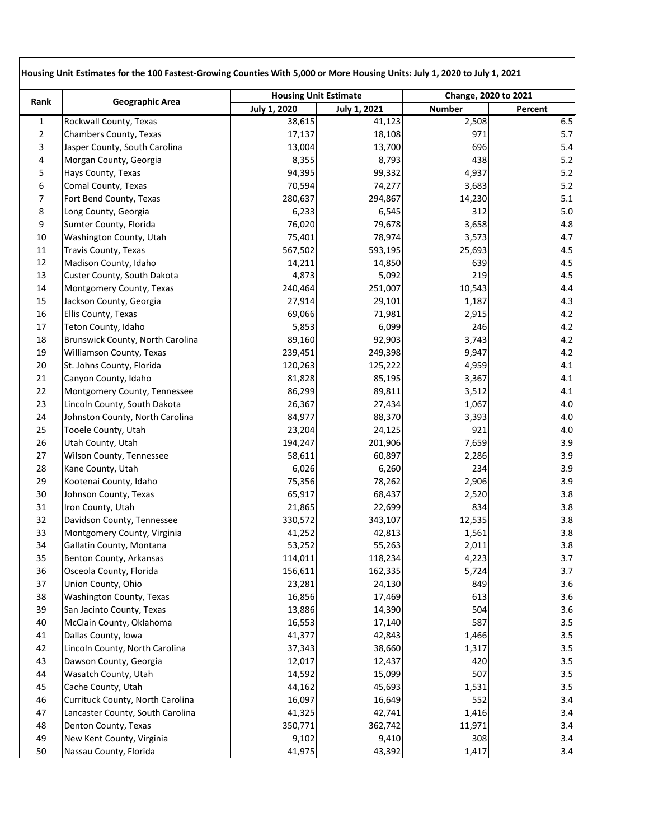|                | <b>Geographic Area</b>           |                     | <b>Housing Unit Estimate</b> |               | Change, 2020 to 2021 |
|----------------|----------------------------------|---------------------|------------------------------|---------------|----------------------|
| Rank           |                                  | <b>July 1, 2020</b> | July 1, 2021                 | <b>Number</b> | Percent              |
| $\mathbf{1}$   | Rockwall County, Texas           | 38,615              | 41,123                       | 2,508         | 6.5                  |
| $\overline{2}$ | Chambers County, Texas           | 17,137              | 18,108                       | 971           | 5.7                  |
| 3              | Jasper County, South Carolina    | 13,004              | 13,700                       | 696           | 5.4                  |
| 4              | Morgan County, Georgia           | 8,355               | 8,793                        | 438           | 5.2                  |
| 5              | Hays County, Texas               | 94,395              | 99,332                       | 4,937         | 5.2                  |
| 6              | Comal County, Texas              | 70,594              | 74,277                       | 3,683         | 5.2                  |
| 7              | Fort Bend County, Texas          | 280,637             | 294,867                      | 14,230        | 5.1                  |
| 8              | Long County, Georgia             | 6,233               | 6,545                        | 312           | 5.0                  |
| 9              | Sumter County, Florida           | 76,020              | 79,678                       | 3,658         | 4.8                  |
| 10             | Washington County, Utah          | 75,401              | 78,974                       | 3,573         | 4.7                  |
| 11             | <b>Travis County, Texas</b>      | 567,502             | 593,195                      | 25,693        | 4.5                  |
| 12             | Madison County, Idaho            | 14,211              | 14,850                       | 639           | 4.5                  |
| 13             | Custer County, South Dakota      | 4,873               | 5,092                        | 219           | 4.5                  |
| 14             | Montgomery County, Texas         | 240,464             | 251,007                      | 10,543        | 4.4                  |
| 15             | Jackson County, Georgia          | 27,914              | 29,101                       | 1,187         | 4.3                  |
| 16             | Ellis County, Texas              | 69,066              | 71,981                       | 2,915         | 4.2                  |
| 17             | Teton County, Idaho              | 5,853               | 6,099                        | 246           | 4.2                  |
| 18             | Brunswick County, North Carolina | 89,160              | 92,903                       | 3,743         | 4.2                  |
| 19             | Williamson County, Texas         | 239,451             | 249,398                      | 9,947         | 4.2                  |
| 20             | St. Johns County, Florida        | 120,263             | 125,222                      | 4,959         | 4.1                  |
| 21             | Canyon County, Idaho             | 81,828              | 85,195                       | 3,367         | 4.1                  |
| 22             | Montgomery County, Tennessee     | 86,299              | 89,811                       | 3,512         | 4.1                  |
| 23             | Lincoln County, South Dakota     | 26,367              | 27,434                       | 1,067         | 4.0                  |
| 24             | Johnston County, North Carolina  | 84,977              | 88,370                       | 3,393         | 4.0                  |
| 25             | Tooele County, Utah              | 23,204              | 24,125                       | 921           | 4.0                  |
| 26             | Utah County, Utah                | 194,247             | 201,906                      | 7,659         | 3.9                  |
| 27             | Wilson County, Tennessee         | 58,611              | 60,897                       | 2,286         | 3.9                  |
| 28             | Kane County, Utah                | 6,026               | 6,260                        | 234           | 3.9                  |
| 29             | Kootenai County, Idaho           | 75,356              | 78,262                       | 2,906         | 3.9                  |
| 30             | Johnson County, Texas            | 65,917              | 68,437                       | 2,520         | 3.8                  |
| 31             | Iron County, Utah                | 21,865              | 22,699                       | 834           | 3.8                  |
| 32             | Davidson County, Tennessee       | 330,572             | 343,107                      | 12,535        | 3.8                  |
| 33             | Montgomery County, Virginia      | 41,252              | 42,813                       | 1,561         | 3.8                  |
| 34             | Gallatin County, Montana         | 53,252              | 55,263                       | 2,011         | 3.8                  |
| 35             | Benton County, Arkansas          | 114,011             | 118,234                      | 4,223         | 3.7                  |
| 36             | Osceola County, Florida          | 156,611             | 162,335                      | 5,724         | 3.7                  |
| 37             | Union County, Ohio               | 23,281              | 24,130                       | 849           | 3.6                  |
| 38             | Washington County, Texas         | 16,856              | 17,469                       | 613           | 3.6                  |
| 39             | San Jacinto County, Texas        | 13,886              | 14,390                       | 504           | 3.6                  |
| 40             | McClain County, Oklahoma         | 16,553              | 17,140                       | 587           | 3.5                  |
| 41             | Dallas County, Iowa              | 41,377              | 42,843                       | 1,466         | 3.5                  |
| 42             | Lincoln County, North Carolina   | 37,343              | 38,660                       | 1,317         | 3.5                  |
| 43             | Dawson County, Georgia           | 12,017              | 12,437                       | 420           | 3.5                  |
| 44             | Wasatch County, Utah             | 14,592              | 15,099                       | 507           | 3.5                  |
| 45             | Cache County, Utah               | 44,162              | 45,693                       | 1,531         | 3.5                  |
| 46             | Currituck County, North Carolina | 16,097              | 16,649                       | 552           | 3.4                  |
| 47             | Lancaster County, South Carolina | 41,325              | 42,741                       | 1,416         | 3.4                  |
| 48             | Denton County, Texas             | 350,771             | 362,742                      | 11,971        | 3.4                  |
| 49             | New Kent County, Virginia        | 9,102               | 9,410                        | 308           | 3.4                  |
| 50             | Nassau County, Florida           | 41,975              | 43,392                       | 1,417         | 3.4                  |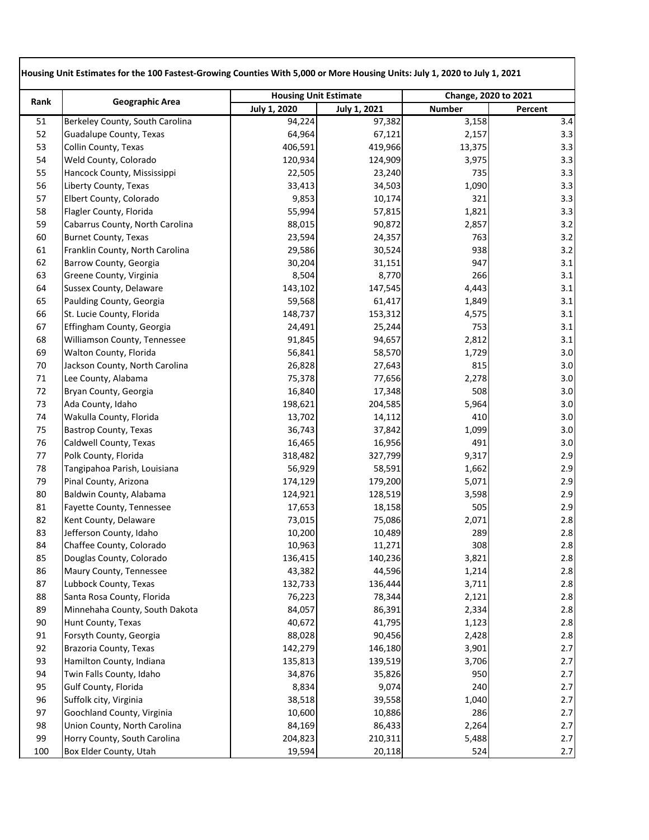| Rank | <b>Geographic Area</b>          | <b>Housing Unit Estimate</b> |                     | Change, 2020 to 2021 |         |
|------|---------------------------------|------------------------------|---------------------|----------------------|---------|
|      |                                 | <b>July 1, 2020</b>          | <b>July 1, 2021</b> | <b>Number</b>        | Percent |
| 51   | Berkeley County, South Carolina | 94,224                       | 97,382              | 3,158                | 3.4     |
| 52   | Guadalupe County, Texas         | 64,964                       | 67,121              | 2,157                | 3.3     |
| 53   | Collin County, Texas            | 406,591                      | 419,966             | 13,375               | 3.3     |
| 54   | Weld County, Colorado           | 120,934                      | 124,909             | 3,975                | 3.3     |
| 55   | Hancock County, Mississippi     | 22,505                       | 23,240              | 735                  | 3.3     |
| 56   | Liberty County, Texas           | 33,413                       | 34,503              | 1,090                | 3.3     |
| 57   | Elbert County, Colorado         | 9,853                        | 10,174              | 321                  | 3.3     |
| 58   | Flagler County, Florida         | 55,994                       | 57,815              | 1,821                | 3.3     |
| 59   | Cabarrus County, North Carolina | 88,015                       | 90,872              | 2,857                | 3.2     |
| 60   | <b>Burnet County, Texas</b>     | 23,594                       | 24,357              | 763                  | 3.2     |
| 61   | Franklin County, North Carolina | 29,586                       | 30,524              | 938                  | 3.2     |
| 62   | Barrow County, Georgia          | 30,204                       | 31,151              | 947                  | 3.1     |
| 63   | Greene County, Virginia         | 8,504                        | 8,770               | 266                  | 3.1     |
| 64   | Sussex County, Delaware         | 143,102                      | 147,545             | 4,443                | 3.1     |
| 65   | Paulding County, Georgia        | 59,568                       | 61,417              | 1,849                | 3.1     |
| 66   | St. Lucie County, Florida       | 148,737                      | 153,312             | 4,575                | 3.1     |
| 67   | Effingham County, Georgia       | 24,491                       | 25,244              | 753                  | 3.1     |
| 68   | Williamson County, Tennessee    | 91,845                       | 94,657              | 2,812                | 3.1     |
| 69   | Walton County, Florida          | 56,841                       | 58,570              | 1,729                | 3.0     |
| 70   | Jackson County, North Carolina  | 26,828                       | 27,643              | 815                  | 3.0     |
| 71   | Lee County, Alabama             | 75,378                       | 77,656              | 2,278                | 3.0     |
| 72   | Bryan County, Georgia           | 16,840                       | 17,348              | 508                  | 3.0     |
| 73   | Ada County, Idaho               | 198,621                      | 204,585             | 5,964                | 3.0     |
| 74   | Wakulla County, Florida         | 13,702                       | 14,112              | 410                  | 3.0     |
| 75   | <b>Bastrop County, Texas</b>    | 36,743                       | 37,842              | 1,099                | 3.0     |
| 76   | Caldwell County, Texas          | 16,465                       | 16,956              | 491                  | 3.0     |
| 77   | Polk County, Florida            | 318,482                      | 327,799             | 9,317                | 2.9     |
| 78   | Tangipahoa Parish, Louisiana    | 56,929                       | 58,591              | 1,662                | 2.9     |
| 79   | Pinal County, Arizona           | 174,129                      | 179,200             | 5,071                | 2.9     |
| 80   | Baldwin County, Alabama         | 124,921                      | 128,519             | 3,598                | 2.9     |
| 81   | Fayette County, Tennessee       | 17,653                       | 18,158              | 505                  | 2.9     |
| 82   | Kent County, Delaware           | 73,015                       | 75,086              | 2,071                | 2.8     |
| 83   | Jefferson County, Idaho         | 10,200                       | 10,489              | 289                  | 2.8     |
| 84   | Chaffee County, Colorado        | 10,963                       | 11,271              | 308                  | 2.8     |
| 85   | Douglas County, Colorado        | 136,415                      | 140,236             | 3,821                | 2.8     |
| 86   | Maury County, Tennessee         | 43,382                       | 44,596              | 1,214                | 2.8     |
| 87   | Lubbock County, Texas           | 132,733                      | 136,444             | 3,711                | 2.8     |
| 88   | Santa Rosa County, Florida      | 76,223                       | 78,344              | 2,121                | 2.8     |
| 89   | Minnehaha County, South Dakota  | 84,057                       | 86,391              | 2,334                | 2.8     |
| 90   | Hunt County, Texas              | 40,672                       | 41,795              | 1,123                | 2.8     |
| 91   | Forsyth County, Georgia         | 88,028                       | 90,456              | 2,428                | 2.8     |
| 92   | Brazoria County, Texas          | 142,279                      | 146,180             | 3,901                | 2.7     |
| 93   | Hamilton County, Indiana        | 135,813                      | 139,519             | 3,706                | 2.7     |
| 94   | Twin Falls County, Idaho        | 34,876                       | 35,826              | 950                  | 2.7     |
| 95   | Gulf County, Florida            | 8,834                        | 9,074               | 240                  | 2.7     |
| 96   | Suffolk city, Virginia          | 38,518                       | 39,558              | 1,040                | 2.7     |
| 97   | Goochland County, Virginia      | 10,600                       | 10,886              | 286                  | 2.7     |
| 98   | Union County, North Carolina    | 84,169                       | 86,433              | 2,264                | 2.7     |
| 99   | Horry County, South Carolina    | 204,823                      | 210,311             | 5,488                | 2.7     |
| 100  | Box Elder County, Utah          | 19,594                       | 20,118              | 524                  | $2.7$   |